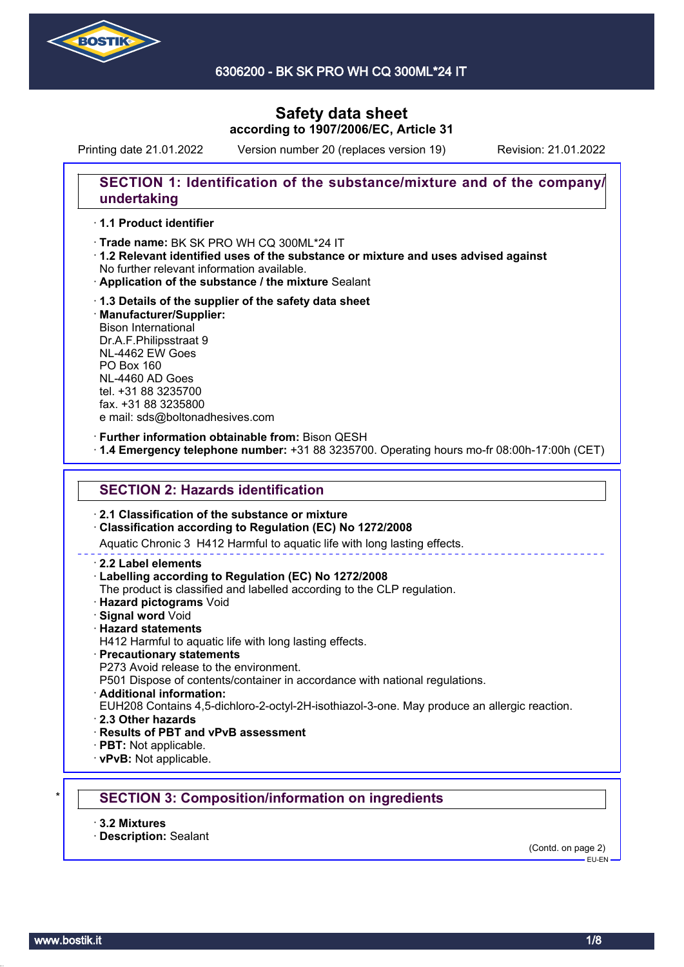

6306200 - BK SK PRO WH CQ 300ML\*24 IT

# **Safety data sheet according to 1907/2006/EC, Article 31**

Printing date 21.01.2022 Version number 20 (replaces version 19) Revision: 21.01.2022

## **SECTION 1: Identification of the substance/mixture and of the company/ undertaking**

### · **1.1 Product identifier**

· Trade name: BK SK PRO WH CQ 300ML\*24 IT

- · **1.2 Relevant identified uses of the substance or mixture and uses advised against** No further relevant information available.
- · **Application of the substance / the mixture** Sealant
- · **1.3 Details of the supplier of the safety data sheet** · **Manufacturer/Supplier:** Bison International Dr.A.F.Philipsstraat 9 NL-4462 EW Goes PO Box 160 NL-4460 AD Goes tel. +31 88 3235700 fax. +31 88 3235800 e mail: sds@boltonadhesives.com

### · **Further information obtainable from:** Bison QESH

· **1.4 Emergency telephone number:** +31 88 3235700. Operating hours mo-fr 08:00h-17:00h (CET)

### **SECTION 2: Hazards identification**

### · **2.1 Classification of the substance or mixture**

### · **Classification according to Regulation (EC) No 1272/2008**

Aquatic Chronic 3 H412 Harmful to aquatic life with long lasting effects.

#### · **2.2 Label elements**

### · **Labelling according to Regulation (EC) No 1272/2008**

The product is classified and labelled according to the CLP regulation.

- · **Hazard pictograms** Void
- · **Signal word** Void
- · **Hazard statements**
- H412 Harmful to aquatic life with long lasting effects.
- · **Precautionary statements**
- P273 Avoid release to the environment.

P501 Dispose of contents/container in accordance with national regulations.

· **Additional information:**

EUH208 Contains 4,5-dichloro-2-octyl-2H-isothiazol-3-one. May produce an allergic reaction.

- · **2.3 Other hazards**
- · **Results of PBT and vPvB assessment**
- · **PBT:** Not applicable.
- · **vPvB:** Not applicable.

### \* **SECTION 3: Composition/information on ingredients**

- · **3.2 Mixtures**
- · **Description:** Sealant

(Contd. on page 2)  $-$ EU-EN-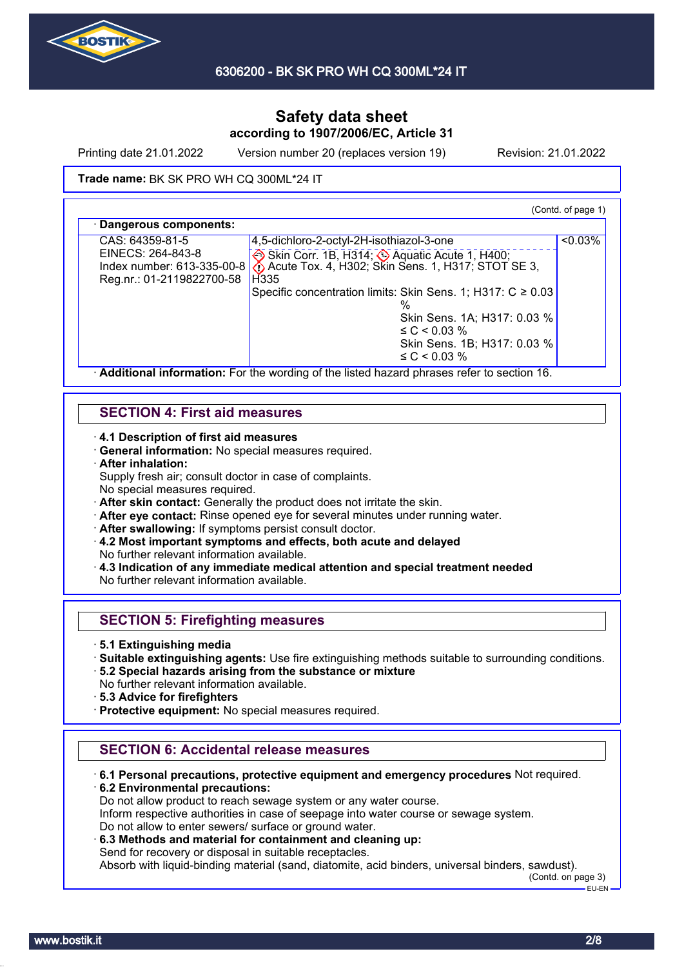

Printing date 21.01.2022 Version number 20 (replaces version 19) Revision: 21.01.2022

### **Trade name: BK SK PRO WH CQ 300ML\*24 IT**

(Contd. of page 1)

| CAS: 64359-81-5                                           | 4,5-dichloro-2-octyl-2H-isothiazol-3-one                               | $< 0.03\%$ |
|-----------------------------------------------------------|------------------------------------------------------------------------|------------|
| EINECS: 264-843-8                                         | Skin Corr. 1B, H314; Aquatic Acute 1, H400;                            |            |
| Index number: $613-335-00-8$<br>Reg.nr.: 01-2119822700-58 | Acute Tox. 4, H302; Skin Sens. 1, H317; STOT SE 3,<br>H <sub>335</sub> |            |
|                                                           | Specific concentration limits: Skin Sens. 1; H317: $C \ge 0.03$        |            |
|                                                           | Skin Sens. 1A; H317: 0.03 %<br>$\leq C$ < 0.03 %                       |            |
|                                                           | Skin Sens. 1B; H317: 0.03 %<br>$\leq C < 0.03 \%$                      |            |

**SECTION 4: First aid measures**

### · **4.1 Description of first aid measures**

· **General information:** No special measures required.

- · **After inhalation:**
- Supply fresh air; consult doctor in case of complaints.
- No special measures required.
- · **After skin contact:** Generally the product does not irritate the skin.
- · **After eye contact:** Rinse opened eye for several minutes under running water.
- After swallowing: If symptoms persist consult doctor.
- · **4.2 Most important symptoms and effects, both acute and delayed** No further relevant information available.
- · **4.3 Indication of any immediate medical attention and special treatment needed** No further relevant information available.

## **SECTION 5: Firefighting measures**

- · **5.1 Extinguishing media**
- · **Suitable extinguishing agents:** Use fire extinguishing methods suitable to surrounding conditions.
- · **5.2 Special hazards arising from the substance or mixture**
- No further relevant information available.
- · **5.3 Advice for firefighters**
- · **Protective equipment:** No special measures required.

## **SECTION 6: Accidental release measures**

· **6.1 Personal precautions, protective equipment and emergency procedures** Not required.

· **6.2 Environmental precautions:** Do not allow product to reach sewage system or any water course. Inform respective authorities in case of seepage into water course or sewage system. Do not allow to enter sewers/ surface or ground water.

· **6.3 Methods and material for containment and cleaning up:** Send for recovery or disposal in suitable receptacles.

Absorb with liquid-binding material (sand, diatomite, acid binders, universal binders, sawdust).

(Contd. on page 3)

 $E = F + F$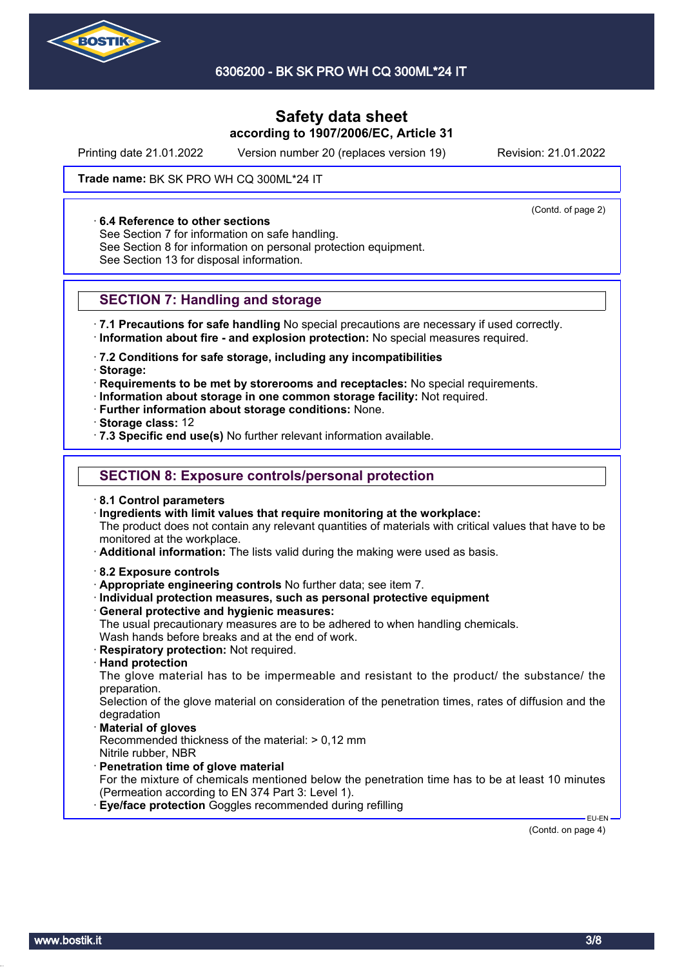

Printing date 21.01.2022 Version number 20 (replaces version 19) Revision: 21.01.2022

(Contd. of page 2)

#### **Trade name: BK SK PRO WH CQ 300ML\*24 IT**

#### · **6.4 Reference to other sections**

See Section 7 for information on safe handling.

See Section 8 for information on personal protection equipment.

See Section 13 for disposal information.

### **SECTION 7: Handling and storage**

· **7.1 Precautions for safe handling** No special precautions are necessary if used correctly. · **Information about fire - and explosion protection:** No special measures required.

· **7.2 Conditions for safe storage, including any incompatibilities**

· **Storage:**

· **Requirements to be met by storerooms and receptacles:** No special requirements.

- · **Information about storage in one common storage facility:** Not required.
- · **Further information about storage conditions:** None.

· **Storage class:** 12

· **7.3 Specific end use(s)** No further relevant information available.

### **SECTION 8: Exposure controls/personal protection**

· **8.1 Control parameters**

· **Ingredients with limit values that require monitoring at the workplace:**

The product does not contain any relevant quantities of materials with critical values that have to be monitored at the workplace.

· **Additional information:** The lists valid during the making were used as basis.

- · **8.2 Exposure controls**
- · **Appropriate engineering controls** No further data; see item 7.
- · **Individual protection measures, such as personal protective equipment**
- · **General protective and hygienic measures:**

The usual precautionary measures are to be adhered to when handling chemicals. Wash hands before breaks and at the end of work.

- · **Respiratory protection:** Not required.
- · **Hand protection**

The glove material has to be impermeable and resistant to the product/ the substance/ the preparation.

Selection of the glove material on consideration of the penetration times, rates of diffusion and the degradation

· **Material of gloves**

Recommended thickness of the material: > 0,12 mm Nitrile rubber, NBR

- · **Penetration time of glove material**
- For the mixture of chemicals mentioned below the penetration time has to be at least 10 minutes (Permeation according to EN 374 Part 3: Level 1).

**Eye/face protection** Goggles recommended during refilling

(Contd. on page 4)

EU-EN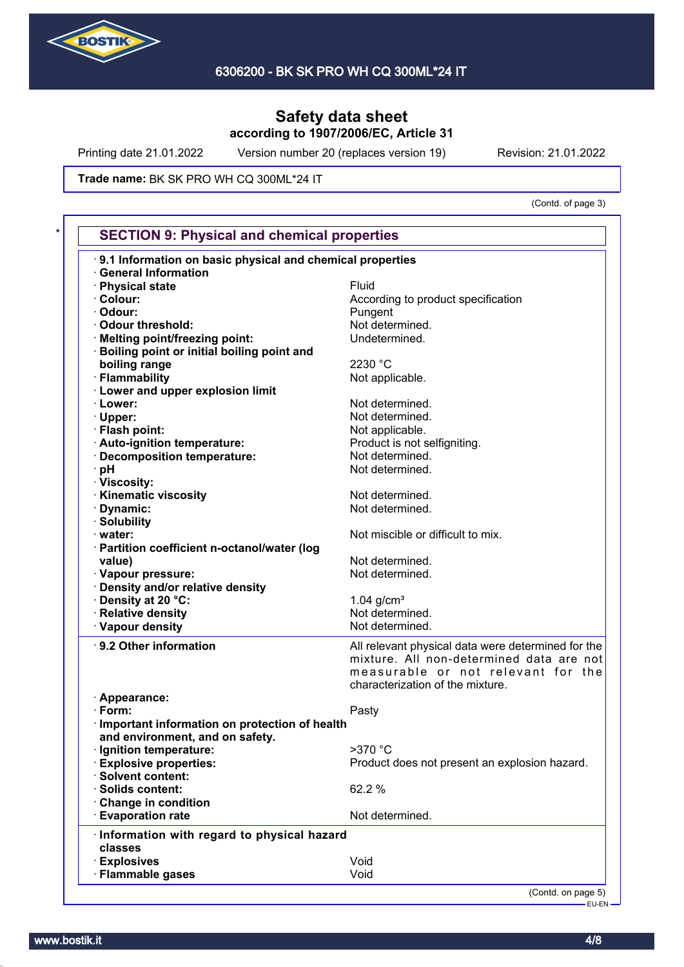

Printing date 21.01.2022 Version number 20 (replaces version 19) Revision: 21.01.2022

**Trade name: BK SK PRO WH CQ 300ML\*24 IT** 

(Contd. of page 3)

| 9.1 Information on basic physical and chemical properties |                                                    |
|-----------------------------------------------------------|----------------------------------------------------|
| <b>General Information</b>                                |                                                    |
| · Physical state                                          | Fluid                                              |
| · Colour:                                                 | According to product specification                 |
| · Odour:                                                  | Pungent                                            |
| · Odour threshold:                                        | Not determined.                                    |
| · Melting point/freezing point:                           | Undetermined.                                      |
| Boiling point or initial boiling point and                |                                                    |
| boiling range                                             | 2230 °C                                            |
| · Flammability                                            | Not applicable.                                    |
| · Lower and upper explosion limit                         |                                                    |
| · Lower:                                                  | Not determined.                                    |
| · Upper:                                                  | Not determined.                                    |
| · Flash point:                                            | Not applicable.                                    |
| · Auto-ignition temperature:                              | Product is not selfigniting.                       |
| · Decomposition temperature:                              | Not determined.                                    |
|                                                           | Not determined.                                    |
| · pH                                                      |                                                    |
| · Viscosity:<br>· Kinematic viscosity                     |                                                    |
|                                                           | Not determined.                                    |
| · Dynamic:                                                | Not determined.                                    |
| · Solubility                                              |                                                    |
| water:                                                    | Not miscible or difficult to mix.                  |
| · Partition coefficient n-octanol/water (log              |                                                    |
| value)                                                    | Not determined.                                    |
| · Vapour pressure:                                        | Not determined.                                    |
| · Density and/or relative density                         |                                                    |
| Density at 20 °C:                                         | 1.04 $g/cm3$                                       |
| <b>Relative density</b>                                   | Not determined.                                    |
| · Vapour density                                          | Not determined.                                    |
| · 9.2 Other information                                   | All relevant physical data were determined for the |
|                                                           | mixture. All non-determined data are not           |
|                                                           | measurable or not relevant for the                 |
|                                                           | characterization of the mixture.                   |
| · Appearance:                                             |                                                    |
| $\cdot$ Form:                                             | Pasty                                              |
| Important information on protection of health             |                                                    |
| and environment, and on safety.                           |                                                    |
| · Ignition temperature:                                   | >370 °C                                            |
| <b>Explosive properties:</b>                              | Product does not present an explosion hazard.      |
| · Solvent content:                                        |                                                    |
| Solids content:                                           | 62.2 %                                             |
| Change in condition                                       |                                                    |
| <b>Evaporation rate</b>                                   | Not determined.                                    |
|                                                           |                                                    |
| · Information with regard to physical hazard              |                                                    |
| classes                                                   |                                                    |
| <b>Explosives</b>                                         | Void<br>Void                                       |
| <b>Flammable gases</b>                                    |                                                    |

EU-EN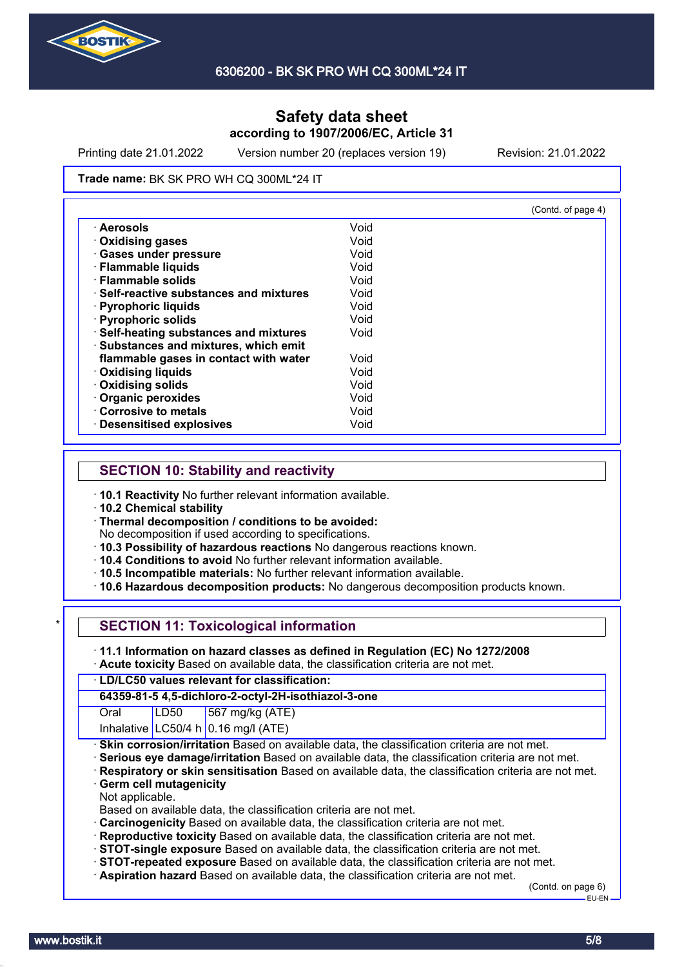

Printing date 21.01.2022 Version number 20 (replaces version 19) Revision: 21.01.2022

#### **Trade name: BK SK PRO WH CQ 300ML\*24 IT**

|                                              |      | (Contd. of page 4) |
|----------------------------------------------|------|--------------------|
| · Aerosols                                   | Void |                    |
| <b>Oxidising gases</b>                       | Void |                    |
| <b>Gases under pressure</b>                  | Void |                    |
| · Flammable liquids                          | Void |                    |
| · Flammable solids                           | Void |                    |
| <b>Self-reactive substances and mixtures</b> | Void |                    |
| · Pyrophoric liquids                         | Void |                    |
| · Pyrophoric solids                          | Void |                    |
| · Self-heating substances and mixtures       | Void |                    |
| · Substances and mixtures, which emit        |      |                    |
| flammable gases in contact with water        | Void |                    |
| <b>Oxidising liquids</b>                     | Void |                    |
| <b>Oxidising solids</b>                      | Void |                    |
| Organic peroxides                            | Void |                    |
| Corrosive to metals                          | Void |                    |
| · Desensitised explosives                    | Void |                    |

## **SECTION 10: Stability and reactivity**

· **10.1 Reactivity** No further relevant information available.

· **10.2 Chemical stability**

· **Thermal decomposition / conditions to be avoided:**

No decomposition if used according to specifications.

- · **10.3 Possibility of hazardous reactions** No dangerous reactions known.
- · **10.4 Conditions to avoid** No further relevant information available.
- · **10.5 Incompatible materials:** No further relevant information available.
- · **10.6 Hazardous decomposition products:** No dangerous decomposition products known.

| * I |  |  |  |  |  |  | <b>SECTION 11: Toxicological information</b> |
|-----|--|--|--|--|--|--|----------------------------------------------|
|-----|--|--|--|--|--|--|----------------------------------------------|

- · **11.1 Information on hazard classes as defined in Regulation (EC) No 1272/2008**
- · **Acute toxicity** Based on available data, the classification criteria are not met.

### · **LD/LC50 values relevant for classification:**

### **64359-81-5 4,5-dichloro-2-octyl-2H-isothiazol-3-one**

Oral LD50 567 mg/kg (ATE)

- Inhalative  $LC50/4$  h 0.16 mg/l (ATE)
- **Skin corrosion/irritation** Based on available data, the classification criteria are not met.
- · **Serious eye damage/irritation** Based on available data, the classification criteria are not met.
- · **Respiratory or skin sensitisation** Based on available data, the classification criteria are not met.
- **Germ cell mutagenicity**
- Not applicable.

Based on available data, the classification criteria are not met.

- · **Carcinogenicity** Based on available data, the classification criteria are not met.
- · **Reproductive toxicity** Based on available data, the classification criteria are not met.
- · **STOT-single exposure** Based on available data, the classification criteria are not met.
- · **STOT-repeated exposure** Based on available data, the classification criteria are not met.
- · **Aspiration hazard** Based on available data, the classification criteria are not met.

(Contd. on page 6) EU-EN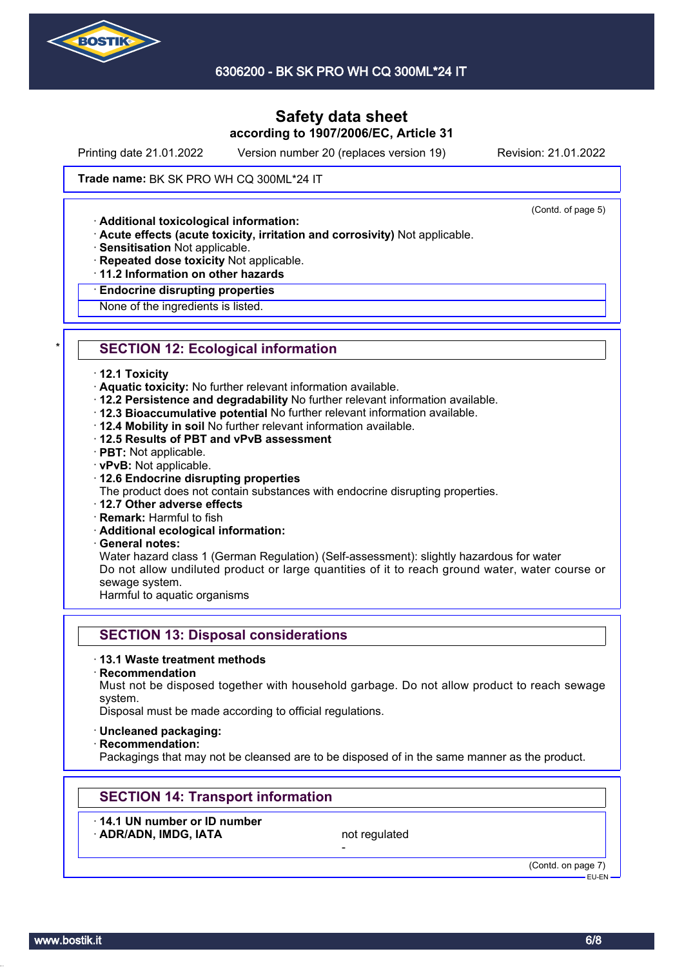

Printing date 21.01.2022 Version number 20 (replaces version 19) Revision: 21.01.2022

(Contd. of page 5)

#### **Trade name: BK SK PRO WH CQ 300ML\*24 IT**

· **Additional toxicological information:**

- · **Acute effects (acute toxicity, irritation and corrosivity)** Not applicable.
- · **Sensitisation** Not applicable.
- · **Repeated dose toxicity** Not applicable.
- · **11.2 Information on other hazards**

#### · **Endocrine disrupting properties**

None of the ingredients is listed.

## **SECTION 12: Ecological information**

#### · **12.1 Toxicity**

- · **Aquatic toxicity:** No further relevant information available.
- · **12.2 Persistence and degradability** No further relevant information available.
- · **12.3 Bioaccumulative potential** No further relevant information available.
- · **12.4 Mobility in soil** No further relevant information available.
- · **12.5 Results of PBT and vPvB assessment**
- · **PBT:** Not applicable.
- · **vPvB:** Not applicable.

#### · **12.6 Endocrine disrupting properties**

The product does not contain substances with endocrine disrupting properties.

- · **12.7 Other adverse effects**
- · **Remark:** Harmful to fish
- · **Additional ecological information:**
- · **General notes:**

Water hazard class 1 (German Regulation) (Self-assessment): slightly hazardous for water Do not allow undiluted product or large quantities of it to reach ground water, water course or sewage system.

Harmful to aquatic organisms

### **SECTION 13: Disposal considerations**

#### · **13.1 Waste treatment methods**

· **Recommendation**

Must not be disposed together with household garbage. Do not allow product to reach sewage system.

Disposal must be made according to official regulations.

- · **Uncleaned packaging:**
- · **Recommendation:**

Packagings that may not be cleansed are to be disposed of in the same manner as the product.

-

## **SECTION 14: Transport information**

· **14.1 UN number or ID number** ADR/ADN, IMDG, IATA not regulated

(Contd. on page 7) EU-EN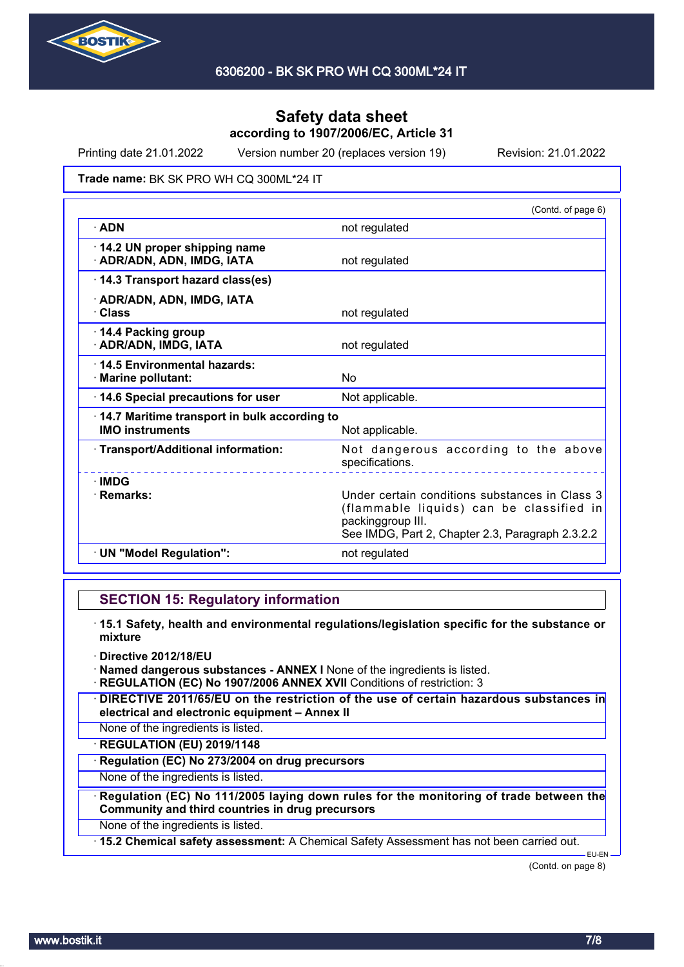

Printing date 21.01.2022 Version number 20 (replaces version 19) Revision: 21.01.2022

#### **Trade name: BK SK PRO WH CQ 300ML\*24 IT**

|                                                                        | (Contd. of page 6)                                                                                                                                                  |
|------------------------------------------------------------------------|---------------------------------------------------------------------------------------------------------------------------------------------------------------------|
| $\cdot$ ADN                                                            | not regulated                                                                                                                                                       |
| 14.2 UN proper shipping name<br>· ADR/ADN, ADN, IMDG, IATA             | not regulated                                                                                                                                                       |
| 14.3 Transport hazard class(es)                                        |                                                                                                                                                                     |
| · ADR/ADN, ADN, IMDG, IATA<br>· Class                                  | not regulated                                                                                                                                                       |
| 14.4 Packing group<br>· ADR/ADN, IMDG, IATA                            | not regulated                                                                                                                                                       |
| 14.5 Environmental hazards:<br>· Marine pollutant:                     | No                                                                                                                                                                  |
| 14.6 Special precautions for user                                      | Not applicable.                                                                                                                                                     |
| 14.7 Maritime transport in bulk according to<br><b>IMO instruments</b> | Not applicable.                                                                                                                                                     |
| · Transport/Additional information:                                    | Not dangerous according to the above<br>specifications.                                                                                                             |
| ∙IMDG<br>$\cdot$ Remarks:                                              | Under certain conditions substances in Class 3<br>(flammable liquids) can be classified in<br>packinggroup III.<br>See IMDG, Part 2, Chapter 2.3, Paragraph 2.3.2.2 |
| · UN "Model Regulation":                                               | not regulated                                                                                                                                                       |

### **SECTION 15: Regulatory information**

- · **15.1 Safety, health and environmental regulations/legislation specific for the substance or mixture**
- · **Directive 2012/18/EU**
- · **Named dangerous substances ANNEX I** None of the ingredients is listed.
- · **REGULATION (EC) No 1907/2006 ANNEX XVII** Conditions of restriction: 3
- · **DIRECTIVE 2011/65/EU on the restriction of the use of certain hazardous substances in electrical and electronic equipment – Annex II**
- None of the ingredients is listed.
- · **REGULATION (EU) 2019/1148**
- · **Regulation (EC) No 273/2004 on drug precursors**
- None of the ingredients is listed.
- · **Regulation (EC) No 111/2005 laying down rules for the monitoring of trade between the Community and third countries in drug precursors**
- None of the ingredients is listed.
- · **15.2 Chemical safety assessment:** A Chemical Safety Assessment has not been carried out.

(Contd. on page 8)

EU-EN